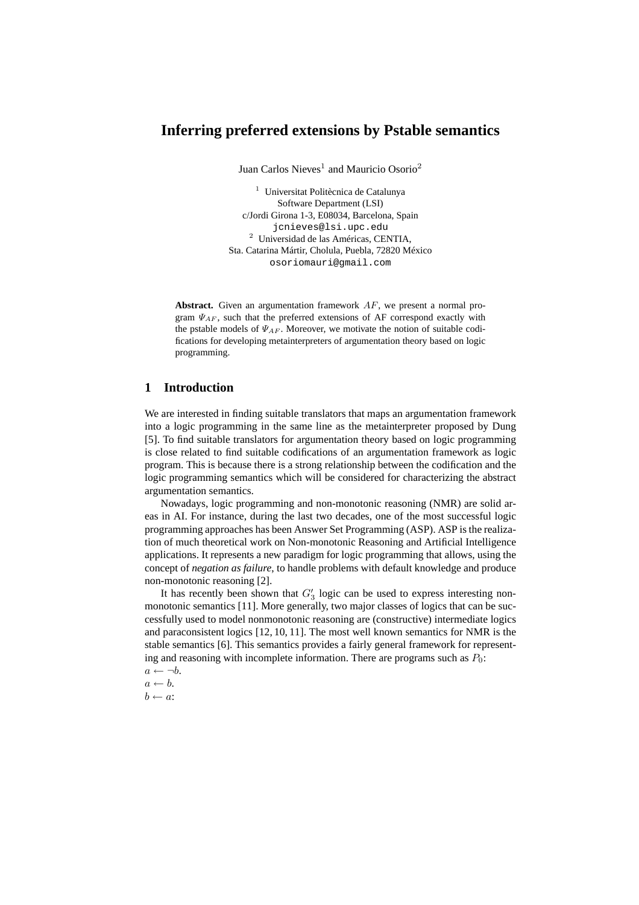# **Inferring preferred extensions by Pstable semantics**

Juan Carlos Nieves<sup>1</sup> and Mauricio Osorio<sup>2</sup>

<sup>1</sup> Universitat Politècnica de Catalunya Software Department (LSI) c/Jordi Girona 1-3, E08034, Barcelona, Spain jcnieves@lsi.upc.edu <sup>2</sup> Universidad de las Américas, CENTIA, Sta. Catarina Mártir, Cholula, Puebla, 72820 México osoriomauri@gmail.com

**Abstract.** Given an argumentation framework AF, we present a normal program  $\Psi_{AF}$ , such that the preferred extensions of AF correspond exactly with the pstable models of  $\Psi_{AF}$ . Moreover, we motivate the notion of suitable codifications for developing metainterpreters of argumentation theory based on logic programming.

## **1 Introduction**

We are interested in finding suitable translators that maps an argumentation framework into a logic programming in the same line as the metainterpreter proposed by Dung [5]. To find suitable translators for argumentation theory based on logic programming is close related to find suitable codifications of an argumentation framework as logic program. This is because there is a strong relationship between the codification and the logic programming semantics which will be considered for characterizing the abstract argumentation semantics.

Nowadays, logic programming and non-monotonic reasoning (NMR) are solid areas in AI. For instance, during the last two decades, one of the most successful logic programming approaches has been Answer Set Programming (ASP). ASP is the realization of much theoretical work on Non-monotonic Reasoning and Artificial Intelligence applications. It represents a new paradigm for logic programming that allows, using the concept of *negation as failure*, to handle problems with default knowledge and produce non-monotonic reasoning [2].

It has recently been shown that  $G_3$  logic can be used to express interesting nonmonotonic semantics [11]. More generally, two major classes of logics that can be successfully used to model nonmonotonic reasoning are (constructive) intermediate logics and paraconsistent logics [12, 10, 11]. The most well known semantics for NMR is the stable semantics [6]. This semantics provides a fairly general framework for representing and reasoning with incomplete information. There are programs such as  $P_0$ :

 $a \leftarrow \neg b$ .  $a \leftarrow b$ .

 $b \leftarrow a$ :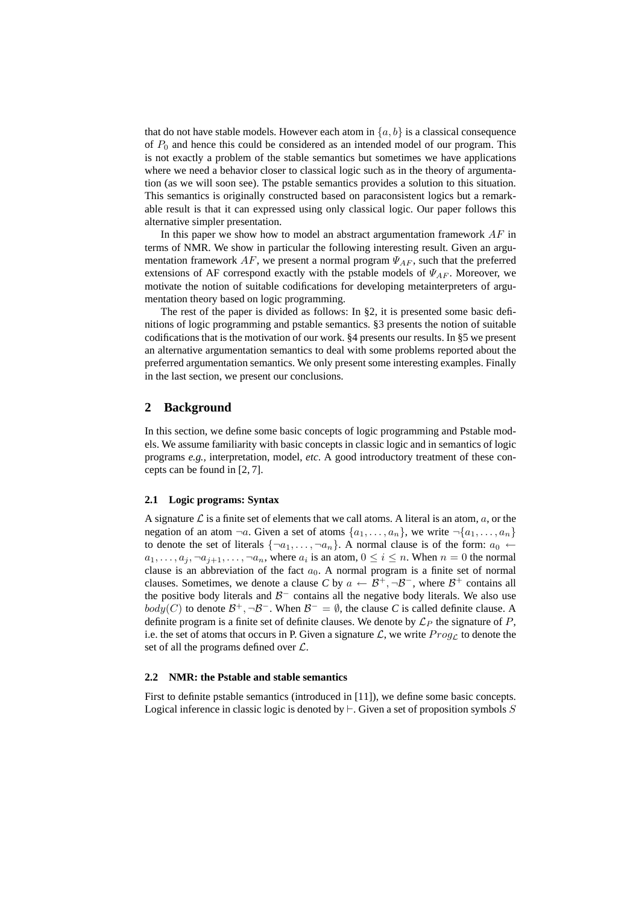that do not have stable models. However each atom in  $\{a, b\}$  is a classical consequence of  $P_0$  and hence this could be considered as an intended model of our program. This is not exactly a problem of the stable semantics but sometimes we have applications where we need a behavior closer to classical logic such as in the theory of argumentation (as we will soon see). The pstable semantics provides a solution to this situation. This semantics is originally constructed based on paraconsistent logics but a remarkable result is that it can expressed using only classical logic. Our paper follows this alternative simpler presentation.

In this paper we show how to model an abstract argumentation framework  $AF$  in terms of NMR. We show in particular the following interesting result. Given an argumentation framework  $AF$ , we present a normal program  $\Psi_{AF}$ , such that the preferred extensions of AF correspond exactly with the pstable models of  $\Psi_{AF}$ . Moreover, we motivate the notion of suitable codifications for developing metainterpreters of argumentation theory based on logic programming.

The rest of the paper is divided as follows: In §2, it is presented some basic definitions of logic programming and pstable semantics. §3 presents the notion of suitable codifications that is the motivation of our work. §4 presents our results. In §5 we present an alternative argumentation semantics to deal with some problems reported about the preferred argumentation semantics. We only present some interesting examples. Finally in the last section, we present our conclusions.

## **2 Background**

In this section, we define some basic concepts of logic programming and Pstable models. We assume familiarity with basic concepts in classic logic and in semantics of logic programs *e.g.,* interpretation, model, *etc*. A good introductory treatment of these concepts can be found in [2, 7].

#### **2.1 Logic programs: Syntax**

A signature  $\mathcal L$  is a finite set of elements that we call atoms. A literal is an atom,  $a$ , or the negation of an atom  $\neg a$ . Given a set of atoms  $\{a_1, \ldots, a_n\}$ , we write  $\neg \{a_1, \ldots, a_n\}$ to denote the set of literals  $\{\neg a_1, \ldots, \neg a_n\}$ . A normal clause is of the form:  $a_0 \leftarrow$  $a_1, \ldots, a_j, \neg a_{j+1}, \ldots, \neg a_n$ , where  $a_i$  is an atom,  $0 \le i \le n$ . When  $n = 0$  the normal clause is an abbreviation of the fact  $a_0$ . A normal program is a finite set of normal clauses. Sometimes, we denote a clause C by  $a \leftarrow \mathcal{B}^+, \neg \mathcal{B}^-,$  where  $\mathcal{B}^+$  contains all the positive body literals and  $\mathcal{B}^-$  contains all the negative body literals. We also use *body*(*C*) to denote  $B^+$ ,  $\neg B^-$ . When  $B^-$  =  $\emptyset$ , the clause *C* is called definite clause. A definite program is a finite set of definite clauses. We denote by  $\mathcal{L}_P$  the signature of P, i.e. the set of atoms that occurs in P. Given a signature  $\mathcal{L}$ , we write  $Prog_{\mathcal{L}}$  to denote the set of all the programs defined over  $\mathcal{L}$ .

#### **2.2 NMR: the Pstable and stable semantics**

First to definite pstable semantics (introduced in [11]), we define some basic concepts. Logical inference in classic logic is denoted by  $\vdash$ . Given a set of proposition symbols S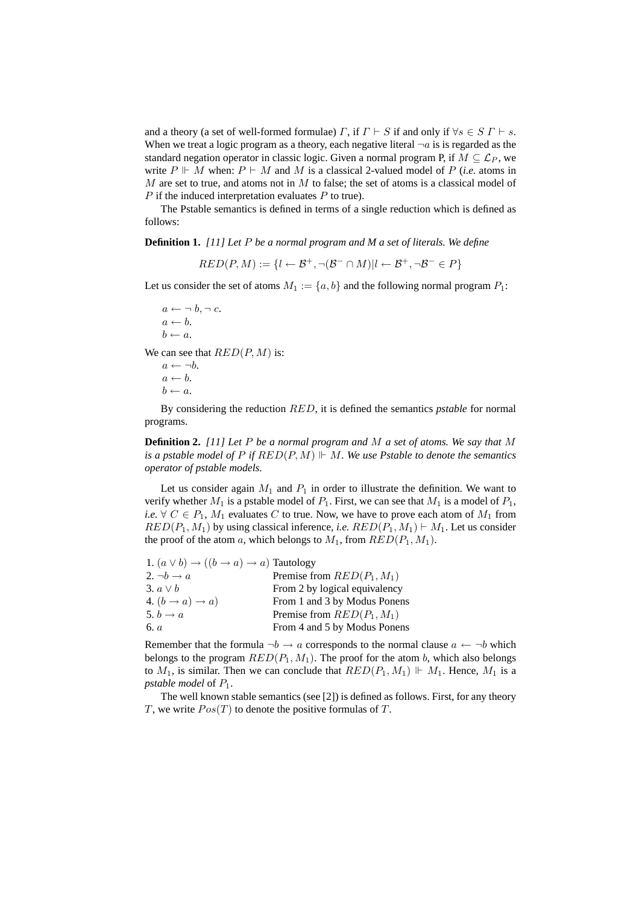and a theory (a set of well-formed formulae)  $\Gamma$ , if  $\Gamma \vdash S$  if and only if  $\forall s \in S \Gamma \vdash s$ . When we treat a logic program as a theory, each negative literal  $\neg a$  is is regarded as the standard negation operator in classic logic. Given a normal program P, if  $M \subseteq \mathcal{L}_P$ , we write  $P \Vdash M$  when:  $P \vdash M$  and M is a classical 2-valued model of P (*i.e.* atoms in M are set to true, and atoms not in M to false; the set of atoms is a classical model of  $P$  if the induced interpretation evaluates  $P$  to true).

The Pstable semantics is defined in terms of a single reduction which is defined as follows:

**Definition 1.** *[11] Let* P *be a normal program and M a set of literals. We define*

 $RED(P, M) := \{l \leftarrow \mathcal{B}^+, \neg(\mathcal{B}^- \cap M) | l \leftarrow \mathcal{B}^+, \neg\mathcal{B}^- \in P\}$ 

Let us consider the set of atoms  $M_1 := \{a, b\}$  and the following normal program  $P_1$ :

 $a \leftarrow \neg b, \neg c.$  $a \leftarrow b$ .  $b \leftarrow a$ .

We can see that  $RED(P, M)$  is:

 $a \leftarrow \neg b$ .  $a \leftarrow b$ .  $b \leftarrow a$ .

By considering the reduction RED, it is defined the semantics *pstable* for normal programs.

**Definition 2.** *[11] Let* P *be a normal program and* M *a set of atoms. We say that* M *is a pstable model of*  $P$  *if*  $RED(P, M)$   $\Vdash M$ *. We use Pstable to denote the semantics operator of pstable models.*

Let us consider again  $M_1$  and  $P_1$  in order to illustrate the definition. We want to verify whether  $M_1$  is a pstable model of  $P_1$ . First, we can see that  $M_1$  is a model of  $P_1$ , *i.e.*  $\forall$   $C \in P_1$ ,  $M_1$  evaluates  $C$  to true. Now, we have to prove each atom of  $M_1$  from  $RED(P_1, M_1)$  by using classical inference, *i.e.*  $RED(P_1, M_1) \vdash M_1$ . Let us consider the proof of the atom a, which belongs to  $M_1$ , from  $RED(P_1, M_1)$ .

| 1. $(a \vee b) \rightarrow ((b \rightarrow a) \rightarrow a)$ Tautology |                               |
|-------------------------------------------------------------------------|-------------------------------|
| 2. $\neg b \rightarrow a$                                               | Premise from $RED(P_1, M_1)$  |
| 3. $a \vee b$                                                           | From 2 by logical equivalency |
| 4. $(b \rightarrow a) \rightarrow a)$                                   | From 1 and 3 by Modus Ponens  |
| 5. $b \rightarrow a$                                                    | Premise from $RED(P_1, M_1)$  |
| 6. $a$                                                                  | From 4 and 5 by Modus Ponens  |

Remember that the formula  $\neg b \rightarrow a$  corresponds to the normal clause  $a \leftarrow \neg b$  which belongs to the program  $RED(P_1, M_1)$ . The proof for the atom b, which also belongs to  $M_1$ , is similar. Then we can conclude that  $RED(P_1, M_1) \Vdash M_1$ . Hence,  $M_1$  is a *pstable model* of  $P_1$ .

The well known stable semantics (see [2]) is defined as follows. First, for any theory T, we write  $Pos(T)$  to denote the positive formulas of T.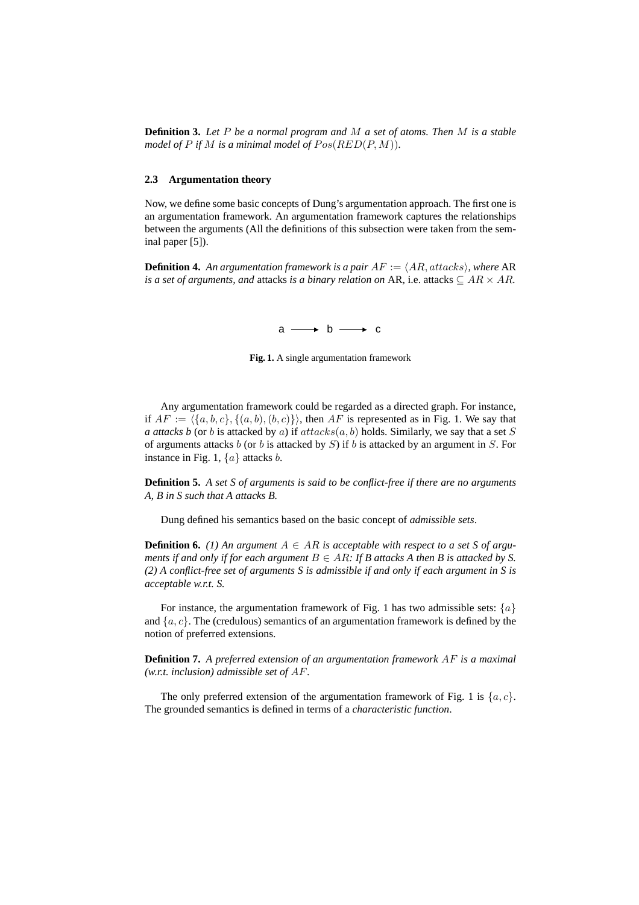**Definition 3.** *Let* P *be a normal program and* M *a set of atoms. Then* M *is a stable model of*  $P$  *if*  $M$  *is a minimal model of*  $Pos(RED(P, M))$ *.* 

#### **2.3 Argumentation theory**

Now, we define some basic concepts of Dung's argumentation approach. The first one is an argumentation framework. An argumentation framework captures the relationships between the arguments (All the definitions of this subsection were taken from the seminal paper [5]).

**Definition 4.** An argumentation framework is a pair  $AF := \langle AR, attacks \rangle$ , where AR *is a set of arguments, and attacks is a binary relation on* AR, i.e. attacks  $\subseteq AR \times AR$ .

 $a \longrightarrow b \longrightarrow c$ 

Fig. 1. A single argumentation framework

of arguments attacks b (or b is attacked by S) if b is attacked by an argument in S. For instance in Fig. 1. (a) ottacks b Any argumentation framework could be regarded as a directed graph. For instance, if  $AF := \langle \{a, b, c\}, \{(a, b), (b, c)\}\rangle$ , then AF is represented as in Fig. 1. We say that *a attacks b* (or *b* is attacked by *a*) if  $attacks(a, b)$  holds. Similarly, we say that a set S instance in Fig. 1,  $\{a\}$  attacks *b*.

**Definition 5.** *A set S of arguments is said to be conflict-free if there are no arguments A, B in S such that A attacks B.*

Dung defined his semantics based on the basic concept of *admissible sets*.

**Definition 6.** *(1)* An argument  $A \in AR$  is acceptable with respect to a set S of argu*ments if and only if for each argument*  $B \in AR$ *: If B attacks A then B is attacked by S. (2) A conflict-free set of arguments S is admissible if and only if each argument in S is acceptable w.r.t. S.*

For instance, the argumentation framework of Fig. 1 has two admissible sets:  $\{a\}$ and  $\{a, c\}$ . The (credulous) semantics of an argumentation framework is defined by the notion of preferred extensions.

**Definition 7.** *A preferred extension of an argumentation framework* AF *is a maximal (w.r.t. inclusion) admissible set of* AF*.*

The only preferred extension of the argumentation framework of Fig. 1 is  $\{a, c\}$ . The grounded semantics is defined in terms of a *characteristic function*.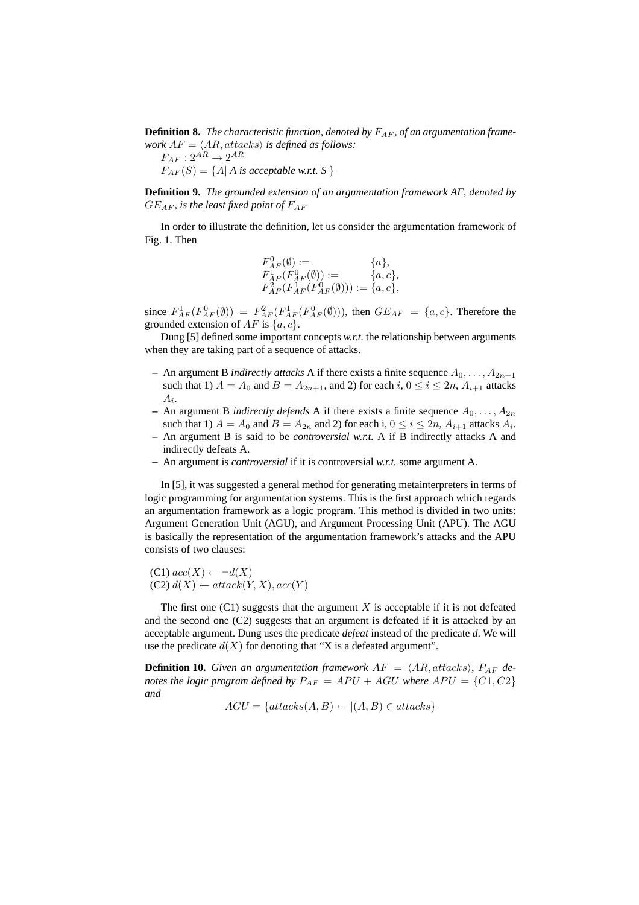**Definition 8.** The characteristic function, denoted by  $F_{AF}$ , of an argumentation frame*work*  $AF = \langle AR, attacks \rangle$  *is defined as follows:* 

 $F_{AF}: 2^{AR} \rightarrow 2^{AR}$  $F_{AF}(S) = \{A | A \text{ is acceptable w.r.t. } S \}$ 

**Definition 9.** *The grounded extension of an argumentation framework AF, denoted by*  $GE_{AF}$ *, is the least fixed point of*  $F_{AF}$ 

In order to illustrate the definition, let us consider the argumentation framework of Fig. 1. Then

$$
\begin{array}{ll} F^0_{AF}(\emptyset):= & \{a\}, \\ F^1_{AF}(F^0_{AF}(\emptyset)):= & \{a,c\}, \\ F^2_{AF}(F^1_{AF}(F^0_{AF}(\emptyset))):= \{a,c\}, \end{array}
$$

since  $F_{AF}^1(F_{AF}^0(\emptyset)) = F_{AF}^2(F_{AF}^1(F_{AF}^0(\emptyset)))$ , then  $GE_{AF} = \{a, c\}$ . Therefore the grounded extension of  $AF$  is  $\{a, c\}$ .

Dung [5] defined some important concepts *w.r.t.* the relationship between arguments when they are taking part of a sequence of attacks.

- **–** An argument B *indirectly attacks* A if there exists a finite sequence  $A_0, \ldots, A_{2n+1}$ such that 1)  $A = A_0$  and  $B = A_{2n+1}$ , and 2) for each  $i, 0 \le i \le 2n$ ,  $A_{i+1}$  attacks  $A_i$ .
- An argument B *indirectly defends* A if there exists a finite sequence  $A_0, \ldots, A_{2n}$ such that 1)  $A = A_0$  and  $B = A_{2n}$  and 2) for each i,  $0 \le i \le 2n$ ,  $A_{i+1}$  attacks  $A_i$ .
- **–** An argument B is said to be *controversial w.r.t.* A if B indirectly attacks A and indirectly defeats A.
- **–** An argument is *controversial* if it is controversial *w.r.t.* some argument A.

In [5], it was suggested a general method for generating metainterpreters in terms of logic programming for argumentation systems. This is the first approach which regards an argumentation framework as a logic program. This method is divided in two units: Argument Generation Unit (AGU), and Argument Processing Unit (APU). The AGU is basically the representation of the argumentation framework's attacks and the APU consists of two clauses:

(C1) 
$$
acc(X) \leftarrow \neg d(X)
$$
  
(C2)  $d(X) \leftarrow attack(Y, X), acc(Y)$ 

The first one  $(C1)$  suggests that the argument X is acceptable if it is not defeated and the second one (C2) suggests that an argument is defeated if it is attacked by an acceptable argument. Dung uses the predicate *defeat* instead of the predicate *d*. We will use the predicate  $d(X)$  for denoting that "X is a defeated argument".

**Definition 10.** *Given an argumentation framework*  $AF = \langle AR, attacks \rangle$ ,  $P_{AF}$  *denotes the logic program defined by*  $P_{AF} = APU + AGU$  *where*  $APU = \{C1, C2\}$ *and*

$$
AGU = \{attack(A, B) \leftarrow | (A, B) \in attacks\}
$$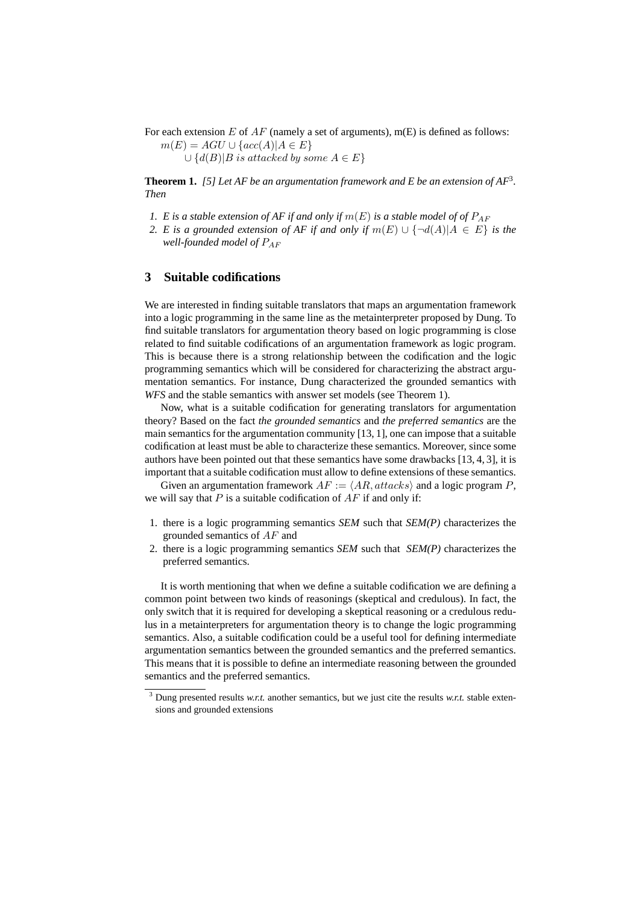For each extension E of  $AF$  (namely a set of arguments), m(E) is defined as follows:  $m(E) = AGU \cup \{acc(A) | A \in E\}$ 

$$
\bigcup \{d(B)|B \text{ is attacked by some } A \in E\}
$$

**Theorem 1.** *[5] Let AF be an argumentation framework and E be an extension of AF*<sup>3</sup> *. Then*

- *1. E* is a stable extension of AF if and only if  $m(E)$  is a stable model of of  $P_{AF}$
- 2. *E* is a grounded extension of AF if and only if  $m(E) \cup \{\neg d(A) | A \in E\}$  is the *well-founded model of*  $P_{AF}$

## **3 Suitable codifications**

We are interested in finding suitable translators that maps an argumentation framework into a logic programming in the same line as the metainterpreter proposed by Dung. To find suitable translators for argumentation theory based on logic programming is close related to find suitable codifications of an argumentation framework as logic program. This is because there is a strong relationship between the codification and the logic programming semantics which will be considered for characterizing the abstract argumentation semantics. For instance, Dung characterized the grounded semantics with *WFS* and the stable semantics with answer set models (see Theorem 1).

Now, what is a suitable codification for generating translators for argumentation theory? Based on the fact *the grounded semantics* and *the preferred semantics* are the main semantics for the argumentation community  $[13, 1]$ , one can impose that a suitable codification at least must be able to characterize these semantics. Moreover, since some authors have been pointed out that these semantics have some drawbacks [13, 4, 3], it is important that a suitable codification must allow to define extensions of these semantics.

Given an argumentation framework  $AF := \langle AR, attacks \rangle$  and a logic program P, we will say that  $P$  is a suitable codification of  $AF$  if and only if:

- 1. there is a logic programming semantics *SEM* such that *SEM(P)* characterizes the grounded semantics of AF and
- 2. there is a logic programming semantics *SEM* such that *SEM(P)* characterizes the preferred semantics.

It is worth mentioning that when we define a suitable codification we are defining a common point between two kinds of reasonings (skeptical and credulous). In fact, the only switch that it is required for developing a skeptical reasoning or a credulous redulus in a metainterpreters for argumentation theory is to change the logic programming semantics. Also, a suitable codification could be a useful tool for defining intermediate argumentation semantics between the grounded semantics and the preferred semantics. This means that it is possible to define an intermediate reasoning between the grounded semantics and the preferred semantics.

<sup>3</sup> Dung presented results *w.r.t.* another semantics, but we just cite the results *w.r.t.* stable extensions and grounded extensions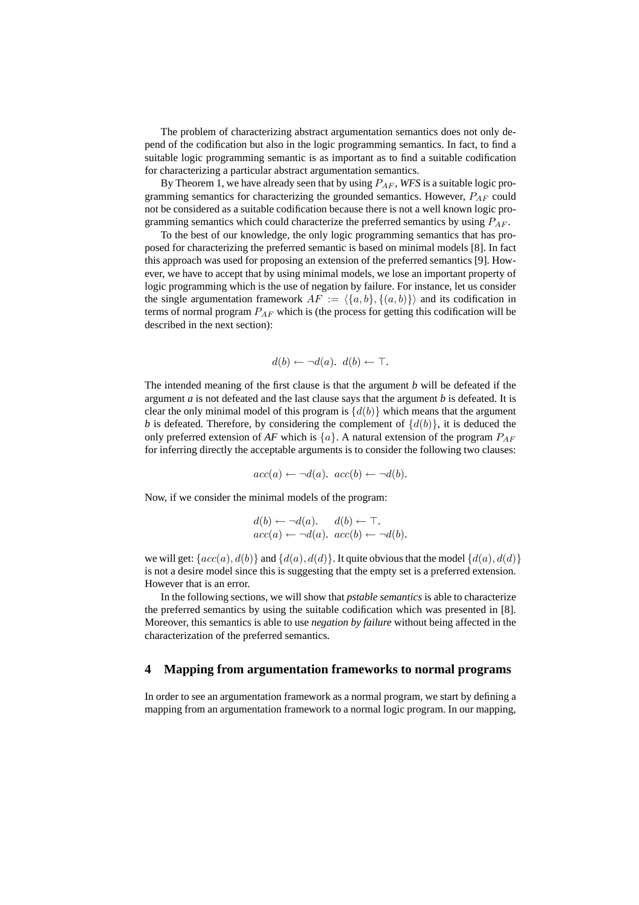The problem of characterizing abstract argumentation semantics does not only depend of the codification but also in the logic programming semantics. In fact, to find a suitable logic programming semantic is as important as to find a suitable codification for characterizing a particular abstract argumentation semantics.

By Theorem 1, we have already seen that by using  $P_{AF}$ , *WFS* is a suitable logic programming semantics for characterizing the grounded semantics. However,  $P_{AF}$  could not be considered as a suitable codification because there is not a well known logic programming semantics which could characterize the preferred semantics by using  $P_{AF}$ .

To the best of our knowledge, the only logic programming semantics that has proposed for characterizing the preferred semantic is based on minimal models [8]. In fact this approach was used for proposing an extension of the preferred semantics [9]. However, we have to accept that by using minimal models, we lose an important property of logic programming which is the use of negation by failure. For instance, let us consider the single argumentation framework  $AF := \langle \{a, b\}, \{ (a, b) \} \rangle$  and its codification in terms of normal program  $P_{AF}$  which is (the process for getting this codification will be described in the next section):

$$
d(b) \leftarrow \neg d(a). \ \ d(b) \leftarrow \top.
$$

The intended meaning of the first clause is that the argument *b* will be defeated if the argument *a* is not defeated and the last clause says that the argument *b* is defeated. It is clear the only minimal model of this program is  $\{d(b)\}\$  which means that the argument *b* is defeated. Therefore, by considering the complement of  $\{d(b)\}\$ , it is deduced the only preferred extension of  $AF$  which is  $\{a\}$ . A natural extension of the program  $P_{AF}$ for inferring directly the acceptable arguments is to consider the following two clauses:

$$
acc(a) \leftarrow \neg d(a). \ acc(b) \leftarrow \neg d(b).
$$

Now, if we consider the minimal models of the program:

$$
d(b) \leftarrow \neg d(a). \quad d(b) \leftarrow \top.
$$
  
acc(a) \leftarrow \neg d(a). \quad acc(b) \leftarrow \neg d(b).

we will get:  ${acc(a), d(b)}$  and  ${d(a), d(d)}$ . It quite obvious that the model  ${d(a), d(d)}$ is not a desire model since this is suggesting that the empty set is a preferred extension. However that is an error.

In the following sections, we will show that *pstable semantics* is able to characterize the preferred semantics by using the suitable codification which was presented in [8]. Moreover, this semantics is able to use *negation by failure* without being affected in the characterization of the preferred semantics.

## **4 Mapping from argumentation frameworks to normal programs**

In order to see an argumentation framework as a normal program, we start by defining a mapping from an argumentation framework to a normal logic program. In our mapping,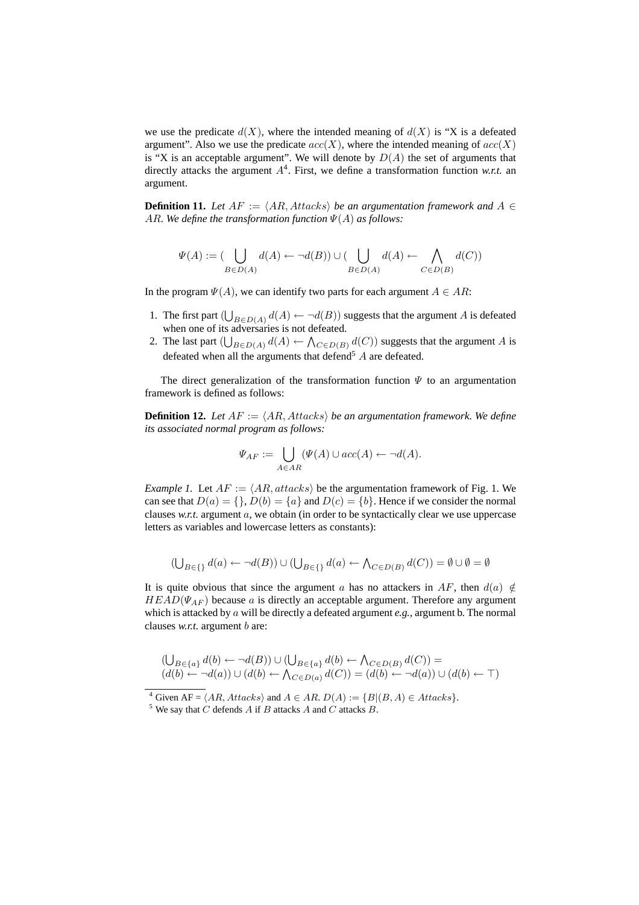we use the predicate  $d(X)$ , where the intended meaning of  $d(X)$  is "X is a defeated argument". Also we use the predicate  $acc(X)$ , where the intended meaning of  $acc(X)$ is "X is an acceptable argument". We will denote by  $D(A)$  the set of arguments that directly attacks the argument  $A<sup>4</sup>$ . First, we define a transformation function *w.r.t.* an argument.

**Definition 11.** *Let*  $AF := \langle AR, Attacks \rangle$  *be an argumentation framework and*  $A \in$ AR. We define the transformation function  $\Psi(A)$  as follows:

$$
\Psi(A) := (\bigcup_{B \in D(A)} d(A) \leftarrow \neg d(B)) \cup (\bigcup_{B \in D(A)} d(A) \leftarrow \bigwedge_{C \in D(B)} d(C))
$$

In the program  $\Psi(A)$ , we can identify two parts for each argument  $A \in AR$ :

- 1. The first part  $\left(\bigcup_{n=1}^{\infty} \mathbb{I}_{n}^n\right)$  $_{B\in D(A)}$   $d(A) \leftarrow \neg d(B)$ ) suggests that the argument A is defeated when one of its adversaries is not defeated.
- 2. The last part  $(\bigcup_{B \in D(A)} d(A) \leftarrow \bigwedge_{C \in D(B)} d(C))$  suggests that the argument A is defeated when all the arguments that defend<sup>5</sup>  $A$  are defeated.

The direct generalization of the transformation function  $\Psi$  to an argumentation framework is defined as follows:

**Definition 12.** Let  $AF := \langle AR, Attacks \rangle$  be an argumentation framework. We define *its associated normal program as follows:*

$$
\Psi_{AF} := \bigcup_{A \in AR} (\Psi(A) \cup acc(A) \leftarrow \neg d(A).
$$

*Example 1.* Let  $AF := \langle AR, \text{attack} \rangle$  be the argumentation framework of Fig. 1. We can see that  $D(a) = \{\}, D(b) = \{a\}$  and  $D(c) = \{b\}$ . Hence if we consider the normal clauses *w.r.t.* argument a, we obtain (in order to be syntactically clear we use uppercase letters as variables and lowercase letters as constants):

$$
(\bigcup_{B \in \{\}} d(a) \leftarrow \neg d(B)) \cup (\bigcup_{B \in \{\}} d(a) \leftarrow \bigwedge_{C \in D(B)} d(C)) = \emptyset \cup \emptyset = \emptyset
$$

It is quite obvious that since the argument a has no attackers in AF, then  $d(a) \notin$  $HEAD(\Psi_{AF})$  because a is directly an acceptable argument. Therefore any argument which is attacked by a will be directly a defeated argument *e.g.,* argument b. The normal clauses *w.r.t.* argument *b* are:

$$
(\bigcup_{B \in \{a\}} d(b) \leftarrow \neg d(B)) \cup (\bigcup_{B \in \{a\}} d(b) \leftarrow \bigwedge_{C \in D(B)} d(C)) =
$$
  

$$
(d(b) \leftarrow \neg d(a)) \cup (d(b) \leftarrow \bigwedge_{C \in D(a)} d(C)) = (d(b) \leftarrow \neg d(a)) \cup (d(b) \leftarrow \top)
$$

<sup>&</sup>lt;sup>4</sup> Given AF =  $\langle AR, Attacks \rangle$  and  $A \in AR$ .  $D(A) := \{B | (B, A) \in Attacks \}.$ 

<sup>&</sup>lt;sup>5</sup> We say that  $C$  defends  $A$  if  $B$  attacks  $A$  and  $C$  attacks  $B$ .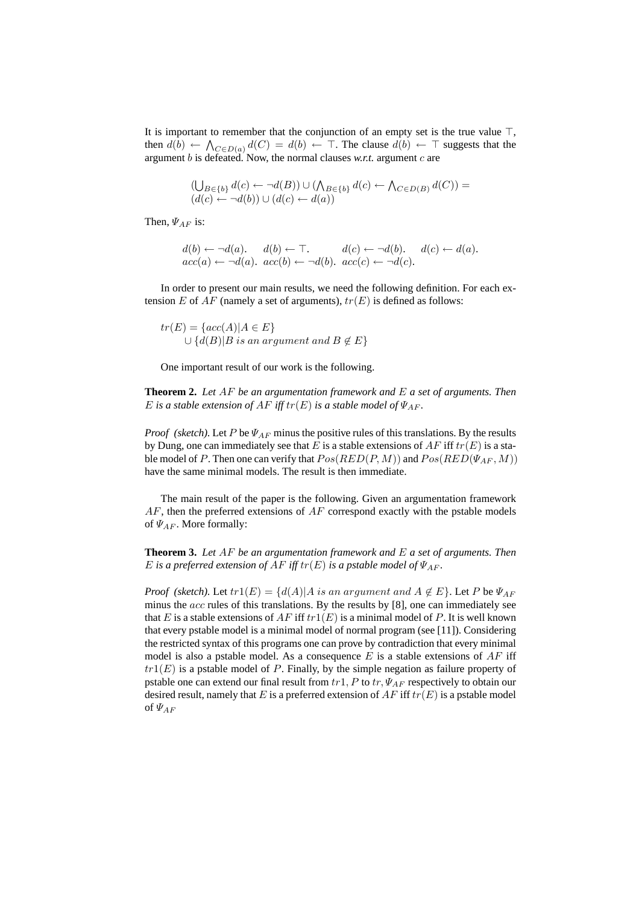It is important to remember that the conjunction of an empty set is the true value  $\top$ , then  $d(b) \leftarrow \bigwedge_{C \in D(a)} d(C) = d(b) \leftarrow \top$ . The clause  $d(b) \leftarrow \top$  suggests that the argument  $b$  is defeated. Now, the normal clauses  $w$ .r.t. argument  $c$  are

$$
(\bigcup_{B\in\{b\}}d(c)\leftarrow \neg d(B))\cup(\bigwedge_{B\in\{b\}}d(c)\leftarrow \bigwedge_{C\in D(B)}d(C))=(d(c)\leftarrow \neg d(b))\cup(d(c)\leftarrow d(a))
$$

Then,  $\Psi_{AF}$  is:

$$
d(b) \leftarrow \neg d(a). \quad d(b) \leftarrow \top. \quad d(c) \leftarrow \neg d(b). \quad d(c) \leftarrow d(a). acc(a) \leftarrow \neg d(a). \quad acc(b) \leftarrow \neg d(b). \quad acc(c) \leftarrow \neg d(c).
$$

In order to present our main results, we need the following definition. For each extension E of AF (namely a set of arguments),  $tr(E)$  is defined as follows:

 $tr(E) = \{acc(A) | A \in E\}$  $\cup \{d(B)|B \text{ is an argument and } B \notin E\}$ 

One important result of our work is the following.

**Theorem 2.** *Let* AF *be an argumentation framework and* E *a set of arguments. Then* E is a stable extension of  $AF$  *iff*  $tr(E)$  *is a stable model of*  $\Psi_{AF}$ *.* 

*Proof (sketch)*. Let P be  $\Psi_{AF}$  minus the positive rules of this translations. By the results by Dung, one can immediately see that E is a stable extensions of  $AF$  iff  $tr(E)$  is a stable model of P. Then one can verify that  $Pos(RED(P, M))$  and  $Pos(RED(\Psi_{AF}, M))$ have the same minimal models. The result is then immediate.

The main result of the paper is the following. Given an argumentation framework  $AF$ , then the preferred extensions of  $AF$  correspond exactly with the pstable models of  $\Psi_{AF}$ . More formally:

**Theorem 3.** *Let* AF *be an argumentation framework and* E *a set of arguments. Then* E is a preferred extension of  $AF$  *iff*  $tr(E)$  *is a pstable model of*  $\Psi_{AF}$ *.* 

*Proof* (sketch). Let  $tr1(E) = \{d(A) | A$  is an argument and  $A \notin E\}$ . Let P be  $\Psi_{AF}$ minus the *acc* rules of this translations. By the results by [8], one can immediately see that E is a stable extensions of AF iff  $tr1(E)$  is a minimal model of P. It is well known that every pstable model is a minimal model of normal program (see [11]). Considering the restricted syntax of this programs one can prove by contradiction that every minimal model is also a pstable model. As a consequence E is a stable extensions of  $AF$  iff  $tr1(E)$  is a pstable model of P. Finally, by the simple negation as failure property of pstable one can extend our final result from  $tr1$ , P to  $tr$ ,  $\Psi_{AF}$  respectively to obtain our desired result, namely that E is a preferred extension of AF iff  $tr(E)$  is a pstable model of  $\Psi_{AF}$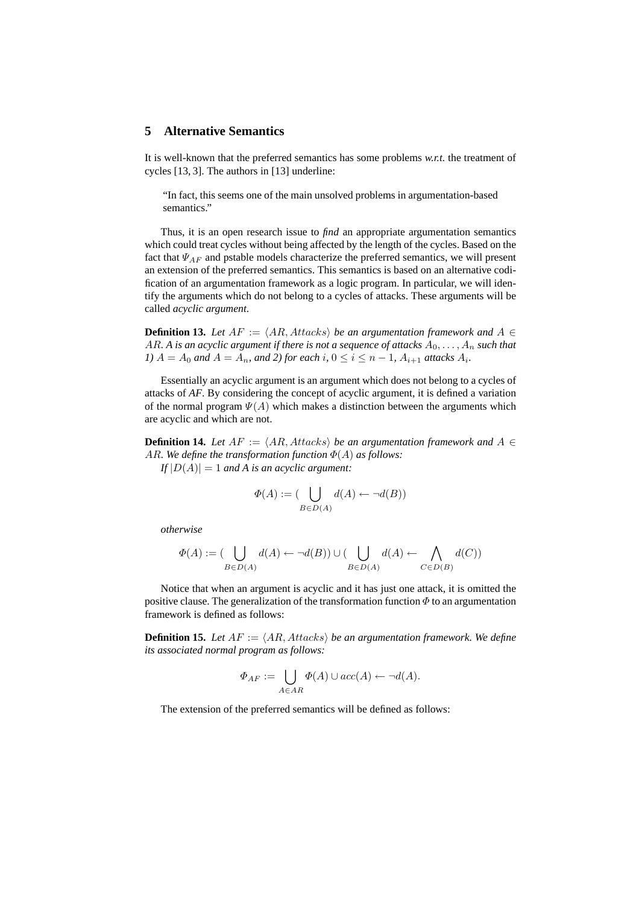## **5 Alternative Semantics**

It is well-known that the preferred semantics has some problems *w.r.t.* the treatment of cycles [13, 3]. The authors in [13] underline:

"In fact, this seems one of the main unsolved problems in argumentation-based semantics."

Thus, it is an open research issue to *find* an appropriate argumentation semantics which could treat cycles without being affected by the length of the cycles. Based on the fact that  $\Psi_{AF}$  and pstable models characterize the preferred semantics, we will present an extension of the preferred semantics. This semantics is based on an alternative codification of an argumentation framework as a logic program. In particular, we will identify the arguments which do not belong to a cycles of attacks. These arguments will be called *acyclic argument*.

**Definition 13.** *Let*  $AF := \langle AR, Attacks \rangle$  *be an argumentation framework and*  $A \in$ AR. A is an acyclic argument if there is not a sequence of attacks  $A_0, \ldots, A_n$  such that *1*)  $A = A_0$  and  $A = A_n$ , and 2) for each i,  $0 \le i \le n - 1$ ,  $A_{i+1}$  attacks  $A_i$ .

Essentially an acyclic argument is an argument which does not belong to a cycles of attacks of *AF*. By considering the concept of acyclic argument, it is defined a variation of the normal program  $\Psi(A)$  which makes a distinction between the arguments which are acyclic and which are not.

**Definition 14.** *Let*  $AF := \langle AR, Attacks \rangle$  *be an argumentation framework and*  $A \in$ AR. We define the transformation function  $\Phi(A)$  as follows:

 $I_f |D(A)| = 1$  *and A is an acyclic argument:* 

$$
\Phi(A) := (\bigcup_{B \in D(A)} d(A) \leftarrow \neg d(B))
$$

*otherwise*

$$
\Phi(A) := (\bigcup_{B \in D(A)} d(A) \leftarrow \neg d(B)) \cup (\bigcup_{B \in D(A)} d(A) \leftarrow \bigwedge_{C \in D(B)} d(C))
$$

Notice that when an argument is acyclic and it has just one attack, it is omitted the positive clause. The generalization of the transformation function  $\Phi$  to an argumentation framework is defined as follows:

**Definition 15.** Let  $AF := \langle AR, Attacks \rangle$  be an argumentation framework. We define *its associated normal program as follows:*

$$
\Phi_{AF} := \bigcup_{A \in AR} \Phi(A) \cup acc(A) \leftarrow \neg d(A).
$$

The extension of the preferred semantics will be defined as follows: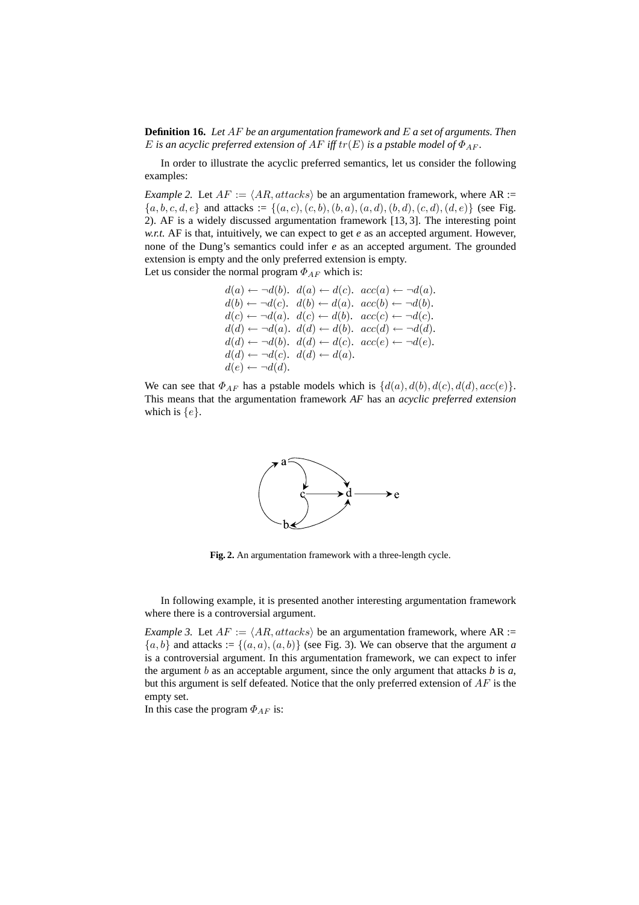**Definition 16.** *Let* AF *be an argumentation framework and* E *a set of arguments. Then* E *is an acyclic preferred extension of AF iff*  $tr(E)$  *is a pstable model of*  $\Phi_{AF}$ *.* 

In order to illustrate the acyclic preferred semantics, let us consider the following examples:

*Example 2.* Let  $AF := \langle AR, attacks \rangle$  be an argumentation framework, where  $AR :=$  $\{a, b, c, d, e\}$  and attacks :=  $\{(a, c), (c, b), (b, a), (a, d), (b, d), (c, d), (d, e)\}$  (see Fig. 2). AF is a widely discussed argumentation framework [13, 3]. The interesting point *w.r.t.* AF is that, intuitively, we can expect to get *e* as an accepted argument. However, none of the Dung's semantics could infer *e* as an accepted argument. The grounded extension is empty and the only preferred extension is empty. Let us consider the normal program  $\Phi_{AF}$  which is:

$$
\begin{array}{l} d(a) \leftarrow \neg d(b). \;\; d(a) \leftarrow d(c). \;\; acc(a) \leftarrow \neg d(a). \\ d(b) \leftarrow \neg d(c). \;\; d(b) \leftarrow d(a). \;\; acc(b) \leftarrow \neg d(b). \\ d(c) \leftarrow \neg d(a). \;\; d(c) \leftarrow d(b). \;\; acc(c) \leftarrow \neg d(c). \\ d(d) \leftarrow \neg d(a). \;\; d(d) \leftarrow d(b). \;\; acc(d) \leftarrow \neg d(d). \\ d(d) \leftarrow \neg d(b). \;\; d(d) \leftarrow d(c). \;\; acc(e) \leftarrow \neg d(e). \\ d(d) \leftarrow \neg d(c). \;\; d(d) \leftarrow d(a). \\ d(e) \leftarrow \neg d(d). \end{array}
$$

We can see that  $\Phi_{AF}$  has a pstable models which is  $\{d(a), d(b), d(c), d(d), acc(e)\}.$ This means that the argumentation framework *AF* has an *acyclic preferred extension* which is  $\{e\}$ .



**Fig. 2.** An argumentation framework with a three-length cycle.

In following example, it is presented another interesting argumentation framework where there is a controversial argument.

*Example 3.* Let  $AF := \langle AR, attacks \rangle$  be an argumentation framework, where AR :=  ${a, b}$  and attacks :=  ${(a, a), (a, b)}$  (see Fig. 3). We can observe that the argument *a* is a controversial argument. In this argumentation framework, we can expect to infer the argument  $b$  as an acceptable argument, since the only argument that attacks  $b$  is  $a$ , but this argument is self defeated. Notice that the only preferred extension of  $AF$  is the empty set.

In this case the program  $\Phi_{AF}$  is: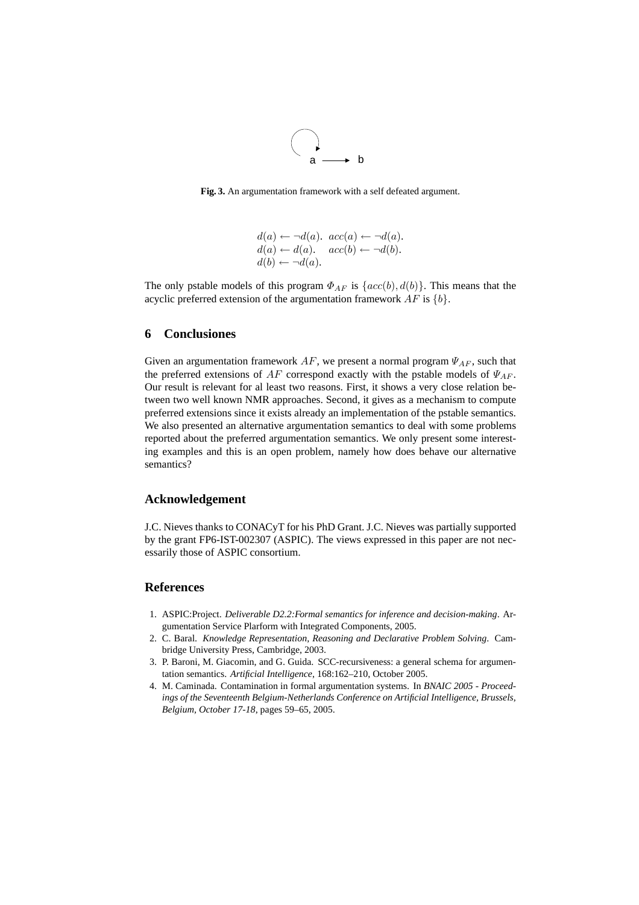

**Fig. 3.** An argumentation framework with a self defeated argument.

$$
d(a) \leftarrow \neg d(a). \quad acc(a) \leftarrow \neg d(a). d(a) \leftarrow d(a). \quad acc(b) \leftarrow \neg d(b). d(b) \leftarrow \neg d(a).
$$

The only pstable models of this program  $\Phi_{AF}$  is  $\{acc(b), d(b)\}$ . This means that the acyclic preferred extension of the argumentation framework  $AF$  is  $\{b\}$ .

## **6 Conclusiones**

Given an argumentation framework  $AF$ , we present a normal program  $\Psi_{AF}$ , such that the preferred extensions of  $AF$  correspond exactly with the pstable models of  $\Psi_{AF}$ . Our result is relevant for al least two reasons. First, it shows a very close relation between two well known NMR approaches. Second, it gives as a mechanism to compute preferred extensions since it exists already an implementation of the pstable semantics. We also presented an alternative argumentation semantics to deal with some problems reported about the preferred argumentation semantics. We only present some interesting examples and this is an open problem, namely how does behave our alternative semantics?

### **Acknowledgement**

J.C. Nieves thanks to CONACyT for his PhD Grant. J.C. Nieves was partially supported by the grant FP6-IST-002307 (ASPIC). The views expressed in this paper are not necessarily those of ASPIC consortium.

## **References**

- 1. ASPIC:Project. *Deliverable D2.2:Formal semantics for inference and decision-making*. Argumentation Service Plarform with Integrated Components, 2005.
- 2. C. Baral. *Knowledge Representation, Reasoning and Declarative Problem Solving*. Cambridge University Press, Cambridge, 2003.
- 3. P. Baroni, M. Giacomin, and G. Guida. SCC-recursiveness: a general schema for argumentation semantics. *Artificial Intelligence*, 168:162–210, October 2005.
- 4. M. Caminada. Contamination in formal argumentation systems. In *BNAIC 2005 Proceedings of the Seventeenth Belgium-Netherlands Conference on Artificial Intelligence, Brussels, Belgium, October 17-18*, pages 59–65, 2005.